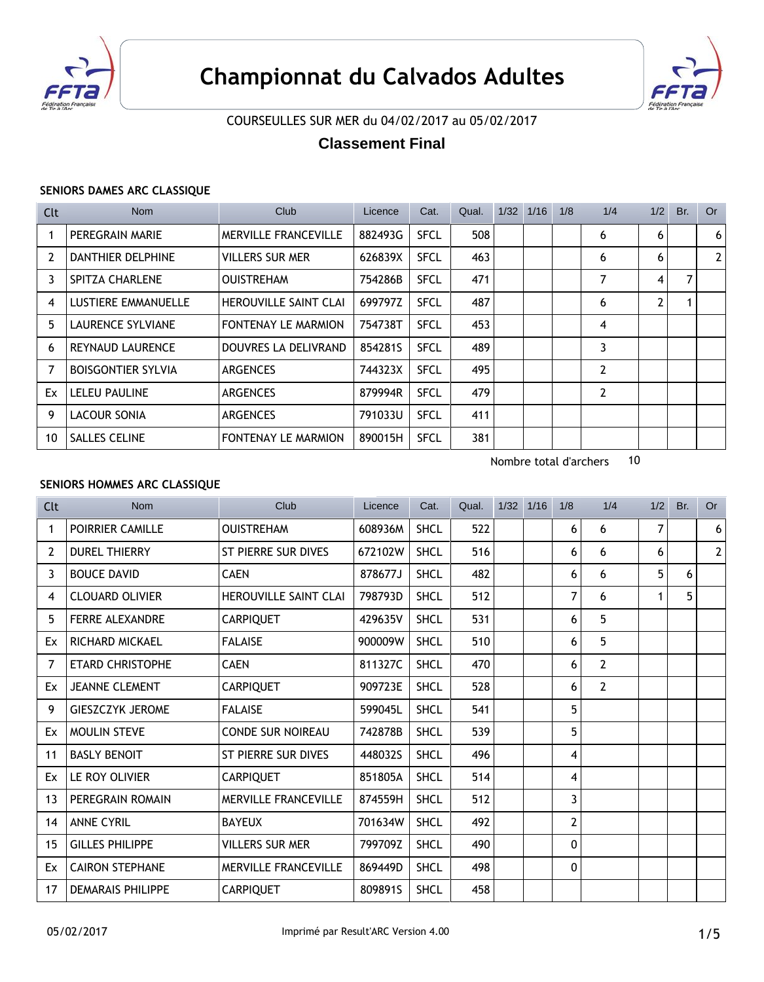



# COURSEULLES SUR MER du 04/02/2017 au 05/02/2017

# **Classement Final**

#### **SENIORS DAMES ARC CLASSIQUE**

| Clt            | <b>Nom</b>                | Club                         | Licence | Cat.        | Qual. | 1/32 | 1/16 | 1/8 | 1/4            | 1/2 | Br. | Or |
|----------------|---------------------------|------------------------------|---------|-------------|-------|------|------|-----|----------------|-----|-----|----|
|                | PEREGRAIN MARIE           | <b>MERVILLE FRANCEVILLE</b>  | 882493G | <b>SFCL</b> | 508   |      |      |     | 6              | 6   |     | 6  |
| $\overline{2}$ | DANTHIER DELPHINE         | <b>VILLERS SUR MER</b>       | 626839X | <b>SFCL</b> | 463   |      |      |     | 6              | 6   |     | 2  |
| 3              | <b>SPITZA CHARLENE</b>    | <b>OUISTREHAM</b>            | 754286B | <b>SFCL</b> | 471   |      |      |     | 7              | 4   | 7   |    |
| 4              | LUSTIERE EMMANUELLE       | <b>HEROUVILLE SAINT CLAI</b> | 699797Z | <b>SFCL</b> | 487   |      |      |     | 6              | 2   |     |    |
| 5              | LAURENCE SYLVIANE         | <b>FONTENAY LE MARMION</b>   | 754738T | <b>SFCL</b> | 453   |      |      |     | 4              |     |     |    |
| 6              | <b>REYNAUD LAURENCE</b>   | DOUVRES LA DELIVRAND         | 854281S | <b>SFCL</b> | 489   |      |      |     | 3              |     |     |    |
| $\overline{7}$ | <b>BOISGONTIER SYLVIA</b> | <b>ARGENCES</b>              | 744323X | <b>SFCL</b> | 495   |      |      |     | $\overline{2}$ |     |     |    |
| Ex             | <b>LELEU PAULINE</b>      | <b>ARGENCES</b>              | 879994R | <b>SFCL</b> | 479   |      |      |     | 2              |     |     |    |
| 9              | LACOUR SONIA              | <b>ARGENCES</b>              | 791033U | <b>SFCL</b> | 411   |      |      |     |                |     |     |    |
| 10             | <b>SALLES CELINE</b>      | <b>FONTENAY LE MARMION</b>   | 890015H | <b>SFCL</b> | 381   |      |      |     |                |     |     |    |

Nombre total d'archers 10

### **SENIORS HOMMES ARC CLASSIQUE**

| Clt            | <b>Nom</b>               | Club                         | Licence | Cat.        | Qual. | 1/32 | 1/16 | 1/8 | 1/4            | 1/2 | Br. | <b>Or</b>    |
|----------------|--------------------------|------------------------------|---------|-------------|-------|------|------|-----|----------------|-----|-----|--------------|
| 1              | POIRRIER CAMILLE         | <b>OUISTREHAM</b>            | 608936M | <b>SHCL</b> | 522   |      |      | 6   | 6              | 7   |     | 6            |
| $\overline{2}$ | <b>DUREL THIERRY</b>     | ST PIERRE SUR DIVES          | 672102W | <b>SHCL</b> | 516   |      |      | 6   | 6              | 6   |     | $\mathbf{2}$ |
| 3              | <b>BOUCE DAVID</b>       | <b>CAEN</b>                  | 878677J | <b>SHCL</b> | 482   |      |      | 6   | 6              | 5   | 6   |              |
| 4              | <b>CLOUARD OLIVIER</b>   | <b>HEROUVILLE SAINT CLAI</b> | 798793D | <b>SHCL</b> | 512   |      |      | 7   | 6              | 1   | 5   |              |
| 5              | <b>FERRE ALEXANDRE</b>   | <b>CARPIQUET</b>             | 429635V | <b>SHCL</b> | 531   |      |      | 6   | 5              |     |     |              |
| Ex             | RICHARD MICKAEL          | <b>FALAISE</b>               | 900009W | <b>SHCL</b> | 510   |      |      | 6   | 5              |     |     |              |
| 7              | <b>ETARD CHRISTOPHE</b>  | <b>CAEN</b>                  | 811327C | <b>SHCL</b> | 470   |      |      | 6   | $\overline{2}$ |     |     |              |
| Ex             | <b>JEANNE CLEMENT</b>    | <b>CARPIQUET</b>             | 909723E | <b>SHCL</b> | 528   |      |      | 6   | $\overline{2}$ |     |     |              |
| 9              | <b>GIESZCZYK JEROME</b>  | <b>FALAISE</b>               | 599045L | <b>SHCL</b> | 541   |      |      | 5   |                |     |     |              |
| Ex             | <b>MOULIN STEVE</b>      | <b>CONDE SUR NOIREAU</b>     | 742878B | <b>SHCL</b> | 539   |      |      | 5   |                |     |     |              |
| 11             | <b>BASLY BENOIT</b>      | ST PIERRE SUR DIVES          | 448032S | <b>SHCL</b> | 496   |      |      | 4   |                |     |     |              |
| Ex             | LE ROY OLIVIER           | <b>CARPIQUET</b>             | 851805A | <b>SHCL</b> | 514   |      |      | 4   |                |     |     |              |
| 13             | PEREGRAIN ROMAIN         | <b>MERVILLE FRANCEVILLE</b>  | 874559H | <b>SHCL</b> | 512   |      |      | 3   |                |     |     |              |
| 14             | <b>ANNE CYRIL</b>        | <b>BAYEUX</b>                | 701634W | <b>SHCL</b> | 492   |      |      | 2   |                |     |     |              |
| 15             | <b>GILLES PHILIPPE</b>   | <b>VILLERS SUR MER</b>       | 799709Z | <b>SHCL</b> | 490   |      |      | 0   |                |     |     |              |
| Ex             | <b>CAIRON STEPHANE</b>   | <b>MERVILLE FRANCEVILLE</b>  | 869449D | <b>SHCL</b> | 498   |      |      | 0   |                |     |     |              |
| 17             | <b>DEMARAIS PHILIPPE</b> | <b>CARPIQUET</b>             | 809891S | <b>SHCL</b> | 458   |      |      |     |                |     |     |              |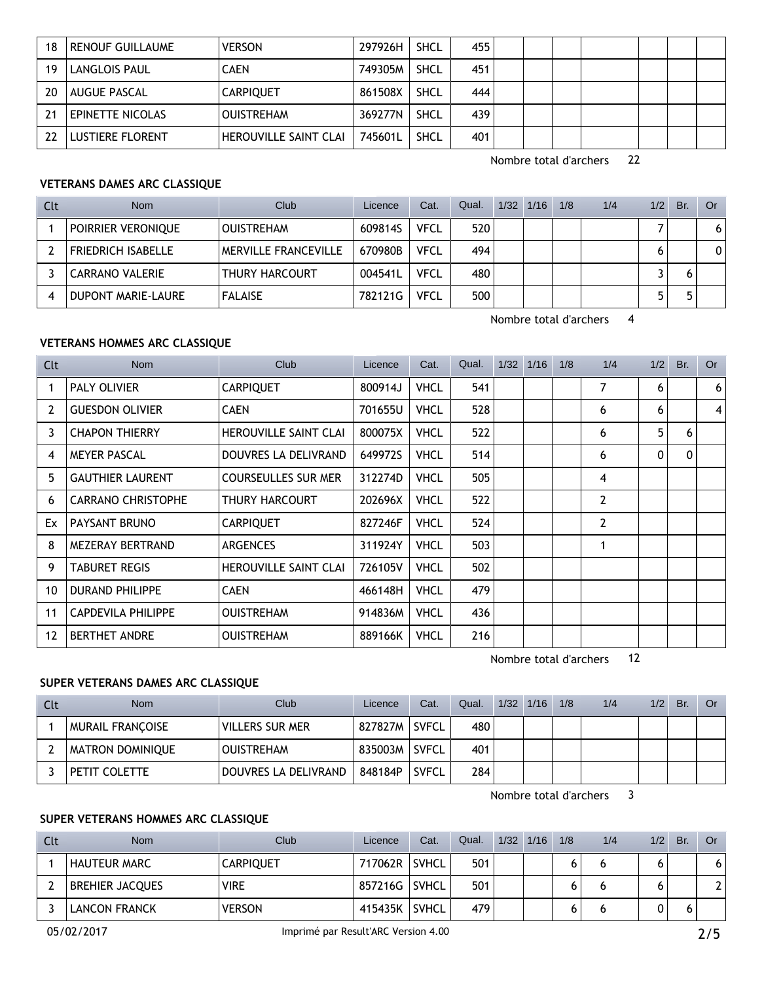| 18 | <b>RENOUF GUILLAUME</b> | <b>VERSON</b>                | 297926H | <b>SHCL</b> | 455 |  |  |  |  |
|----|-------------------------|------------------------------|---------|-------------|-----|--|--|--|--|
| 19 | <b>LANGLOIS PAUL</b>    | <b>CAEN</b>                  | 749305M | <b>SHCL</b> | 451 |  |  |  |  |
| 20 | <b>AUGUE PASCAL</b>     | <b>CARPIQUET</b>             | 861508X | <b>SHCL</b> | 444 |  |  |  |  |
| 21 | EPINETTE NICOLAS        | <b>OUISTREHAM</b>            | 369277N | <b>SHCL</b> | 439 |  |  |  |  |
|    | <b>LUSTIERE FLORENT</b> | <b>HEROUVILLE SAINT CLAI</b> | 745601L | <b>SHCL</b> | 401 |  |  |  |  |

Nombre total d'archers 22

# **VETERANS DAMES ARC CLASSIQUE**

| Clt | <b>Nom</b>                | Club                  | Licence | Cat.        | Qual. | $1/32$ $1/16$ | 1/8 | 1/4 | 1/2 | Br. | Or             |
|-----|---------------------------|-----------------------|---------|-------------|-------|---------------|-----|-----|-----|-----|----------------|
|     | POIRRIER VERONIQUE        | <b>OUISTREHAM</b>     | 609814S | <b>VFCL</b> | 520   |               |     |     |     |     | 6 <sup>1</sup> |
|     | <b>FRIEDRICH ISABELLE</b> | MERVILLE FRANCEVILLE  | 670980B | <b>VFCL</b> | 494   |               |     |     |     |     | 0              |
|     | <b>CARRANO VALERIE</b>    | <b>THURY HARCOURT</b> | 004541L | <b>VFCL</b> | 480   |               |     |     |     |     |                |
|     | DUPONT MARIE-LAURE        | <b>FALAISE</b>        | 782121G | <b>VFCL</b> | 500   |               |     |     | ь   |     |                |

Nombre total d'archers 4

# **VETERANS HOMMES ARC CLASSIQUE**

| Clt | <b>Nom</b>                | Club                         | Licence | Cat.        | Qual. | $1/32$ $1/16$ | 1/8 | 1/4            | 1/2 | Br.      | <b>Or</b> |
|-----|---------------------------|------------------------------|---------|-------------|-------|---------------|-----|----------------|-----|----------|-----------|
| 1   | <b>PALY OLIVIER</b>       | <b>CARPIQUET</b>             | 800914J | <b>VHCL</b> | 541   |               |     | 7              | 6   |          | 6         |
| 2   | <b>GUESDON OLIVIER</b>    | <b>CAEN</b>                  | 701655U | <b>VHCL</b> | 528   |               |     | 6              | 6   |          | $\vert$   |
| 3   | <b>CHAPON THIERRY</b>     | HEROUVILLE SAINT CLAI        | 800075X | <b>VHCL</b> | 522   |               |     | 6              | 5   | 6        |           |
| 4   | <b>MEYER PASCAL</b>       | DOUVRES LA DELIVRAND         | 649972S | <b>VHCL</b> | 514   |               |     | 6              | 0   | $\Omega$ |           |
| 5.  | <b>GAUTHIER LAURENT</b>   | <b>COURSEULLES SUR MER</b>   | 312274D | <b>VHCL</b> | 505   |               |     | 4              |     |          |           |
| 6   | <b>CARRANO CHRISTOPHE</b> | THURY HARCOURT               | 202696X | <b>VHCL</b> | 522   |               |     | $\overline{2}$ |     |          |           |
| Ex  | PAYSANT BRUNO             | <b>CARPIQUET</b>             | 827246F | <b>VHCL</b> | 524   |               |     | $\overline{2}$ |     |          |           |
| 8   | MEZERAY BERTRAND          | <b>ARGENCES</b>              | 311924Y | <b>VHCL</b> | 503   |               |     | 1              |     |          |           |
| 9   | <b>TABURET REGIS</b>      | <b>HEROUVILLE SAINT CLAI</b> | 726105V | <b>VHCL</b> | 502   |               |     |                |     |          |           |
| 10  | <b>DURAND PHILIPPE</b>    | <b>CAEN</b>                  | 466148H | <b>VHCL</b> | 479   |               |     |                |     |          |           |
| 11  | <b>CAPDEVILA PHILIPPE</b> | <b>OUISTREHAM</b>            | 914836M | <b>VHCL</b> | 436   |               |     |                |     |          |           |
| 12  | <b>BERTHET ANDRE</b>      | <b>OUISTREHAM</b>            | 889166K | <b>VHCL</b> | 216   |               |     |                |     |          |           |

Nombre total d'archers 12

### **SUPER VETERANS DAMES ARC CLASSIQUE**

| Clt | Nom                     | Club                 | Licence | Cat.         | Qual. | $1/32$ $1/16$ | 1/8 | 1/4 | 1/2 | Br. | Or |
|-----|-------------------------|----------------------|---------|--------------|-------|---------------|-----|-----|-----|-----|----|
|     | <b>MURAIL FRANCOISE</b> | VILLERS SUR MER      | 827827M | <b>SVFCL</b> | 480   |               |     |     |     |     |    |
|     | <b>MATRON DOMINIQUE</b> | <b>OUISTREHAM</b>    | 835003M | <b>SVFCL</b> | 401   |               |     |     |     |     |    |
|     | PETIT COLETTE           | DOUVRES LA DELIVRAND | 848184P | <b>SVFCL</b> | 284   |               |     |     |     |     |    |

Nombre total d'archers 3

### **SUPER VETERANS HOMMES ARC CLASSIQUE**

| Clt | <b>Nom</b>             | Club             | Licence | Cat.         | Qual. | 1/32 | 1/16 | 1/8 | 1/4 | 1/2 | <b>Br</b> | Or |
|-----|------------------------|------------------|---------|--------------|-------|------|------|-----|-----|-----|-----------|----|
|     | <b>HAUTEUR MARC</b>    | <b>CARPIQUET</b> | 717062R | <b>SVHCL</b> | 501   |      |      |     | O   |     |           |    |
|     | <b>BREHIER JACQUES</b> | <b>VIRE</b>      | 857216G | <b>SVHCL</b> | 501   |      |      |     | O   |     |           |    |
|     | <b>LANCON FRANCK</b>   | <b>VERSON</b>    | 415435K | <b>SVHCL</b> | 479   |      |      |     | O   |     |           |    |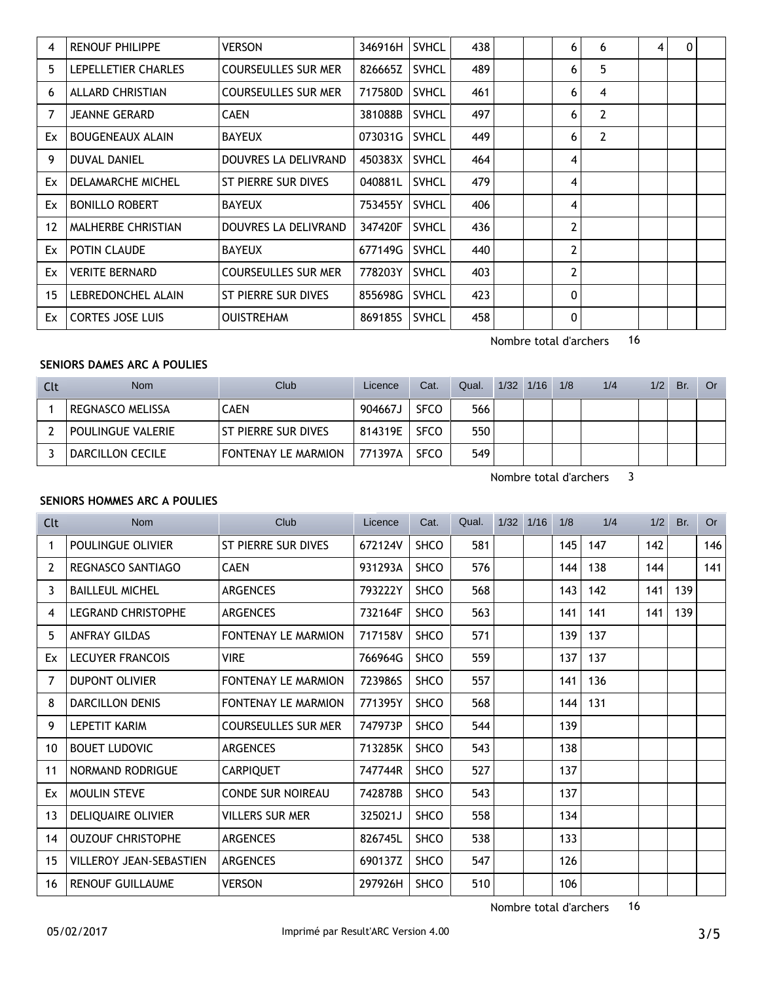| 4                 | <b>RENOUF PHILIPPE</b>    | <b>VERSON</b>              | 346916H | <b>SVHCL</b> | 438 |  | 6              | 6              | 4 | $\Omega$ |  |
|-------------------|---------------------------|----------------------------|---------|--------------|-----|--|----------------|----------------|---|----------|--|
| 5                 | LEPELLETIER CHARLES       | <b>COURSEULLES SUR MER</b> | 826665Z | <b>SVHCL</b> | 489 |  | 6              | 5              |   |          |  |
| 6                 | <b>ALLARD CHRISTIAN</b>   | <b>COURSEULLES SUR MER</b> | 717580D | <b>SVHCL</b> | 461 |  | 6              | 4              |   |          |  |
| 7                 | JEANNE GERARD             | <b>CAEN</b>                | 381088B | <b>SVHCL</b> | 497 |  | 6              | $\overline{2}$ |   |          |  |
| Ex                | <b>BOUGENEAUX ALAIN</b>   | <b>BAYEUX</b>              | 073031G | <b>SVHCL</b> | 449 |  | 6              | $\overline{2}$ |   |          |  |
| 9                 | <b>DUVAL DANIEL</b>       | DOUVRES LA DELIVRAND       | 450383X | <b>SVHCL</b> | 464 |  | 4              |                |   |          |  |
| Ex                | DELAMARCHE MICHEL         | ST PIERRE SUR DIVES        | 040881L | <b>SVHCL</b> | 479 |  | 4              |                |   |          |  |
| Ex                | <b>BONILLO ROBERT</b>     | <b>BAYEUX</b>              | 753455Y | <b>SVHCL</b> | 406 |  | 4              |                |   |          |  |
| $12 \overline{ }$ | <b>MALHERBE CHRISTIAN</b> | DOUVRES LA DELIVRAND       | 347420F | <b>SVHCL</b> | 436 |  | $\overline{2}$ |                |   |          |  |
| Ex                | <b>POTIN CLAUDE</b>       | <b>BAYEUX</b>              | 677149G | <b>SVHCL</b> | 440 |  | $\overline{2}$ |                |   |          |  |
| Ex                | <b>VERITE BERNARD</b>     | <b>COURSEULLES SUR MER</b> | 778203Y | <b>SVHCL</b> | 403 |  | $\overline{2}$ |                |   |          |  |
| 15                | LEBREDONCHEL ALAIN        | ST PIERRE SUR DIVES        | 855698G | <b>SVHCL</b> | 423 |  | $\mathbf{0}$   |                |   |          |  |
| Ex                | <b>CORTES JOSE LUIS</b>   | <b>OUISTREHAM</b>          | 869185S | <b>SVHCL</b> | 458 |  | 0              |                |   |          |  |

# Nombre total d'archers 16

# **SENIORS DAMES ARC A POULIES**

| <b>Clt</b> | Nom               | Club                  | Licence   | Cat.        | Qual. | $1/32$ $1/16$ | 1/8 | 1/4 | 1/2 | Br. | Or. |
|------------|-------------------|-----------------------|-----------|-------------|-------|---------------|-----|-----|-----|-----|-----|
|            | REGNASCO MELISSA  | CAEN                  | 904667J   | <b>SFCO</b> | 566   |               |     |     |     |     |     |
|            | POULINGUE VALERIE | l St pierre sur dives | 814319E   | <b>SFCO</b> | 550   |               |     |     |     |     |     |
|            | DARCILLON CECILE  | FONTENAY LE MARMION   | . 771397A | <b>SFCO</b> | 549   |               |     |     |     |     |     |

Nombre total d'archers 3

### **SENIORS HOMMES ARC A POULIES**

| Clt            | <b>Nom</b>                     | Club                       | Licence | Cat.        | Qual. | 1/32 1/16 | 1/8 | 1/4 | 1/2 | Br. | <b>Or</b> |
|----------------|--------------------------------|----------------------------|---------|-------------|-------|-----------|-----|-----|-----|-----|-----------|
| 1              | POULINGUE OLIVIER              | ST PIERRE SUR DIVES        | 672124V | <b>SHCO</b> | 581   |           | 145 | 147 | 142 |     | 146       |
| $\overline{2}$ | REGNASCO SANTIAGO              | <b>CAEN</b>                | 931293A | <b>SHCO</b> | 576   |           | 144 | 138 | 144 |     | 141       |
| 3              | <b>BAILLEUL MICHEL</b>         | <b>ARGENCES</b>            | 793222Y | <b>SHCO</b> | 568   |           | 143 | 142 | 141 | 139 |           |
| 4              | <b>LEGRAND CHRISTOPHE</b>      | ARGENCES                   | 732164F | <b>SHCO</b> | 563   |           | 141 | 141 | 141 | 139 |           |
| 5              | <b>ANFRAY GILDAS</b>           | FONTENAY LE MARMION        | 717158V | <b>SHCO</b> | 571   |           | 139 | 137 |     |     |           |
| Ex             | <b>LECUYER FRANCOIS</b>        | <b>VIRE</b>                | 766964G | <b>SHCO</b> | 559   |           | 137 | 137 |     |     |           |
| 7              | <b>DUPONT OLIVIER</b>          | FONTENAY LE MARMION        | 723986S | <b>SHCO</b> | 557   |           | 141 | 136 |     |     |           |
| 8              | <b>DARCILLON DENIS</b>         | <b>FONTENAY LE MARMION</b> | 771395Y | <b>SHCO</b> | 568   |           | 144 | 131 |     |     |           |
| 9              | <b>LEPETIT KARIM</b>           | <b>COURSEULLES SUR MER</b> | 747973P | <b>SHCO</b> | 544   |           | 139 |     |     |     |           |
| 10             | <b>BOUET LUDOVIC</b>           | <b>ARGENCES</b>            | 713285K | SHCO        | 543   |           | 138 |     |     |     |           |
| 11             | <b>NORMAND RODRIGUE</b>        | <b>CARPIQUET</b>           | 747744R | <b>SHCO</b> | 527   |           | 137 |     |     |     |           |
| Ex             | MOULIN STEVE                   | <b>CONDE SUR NOIREAU</b>   | 742878B | <b>SHCO</b> | 543   |           | 137 |     |     |     |           |
| 13             | DELIQUAIRE OLIVIER             | VILLERS SUR MER            | 325021J | <b>SHCO</b> | 558   |           | 134 |     |     |     |           |
| 14             | <b>OUZOUF CHRISTOPHE</b>       | <b>ARGENCES</b>            | 826745L | <b>SHCO</b> | 538   |           | 133 |     |     |     |           |
| 15             | <b>VILLEROY JEAN-SEBASTIEN</b> | <b>ARGENCES</b>            | 690137Z | <b>SHCO</b> | 547   |           | 126 |     |     |     |           |
| 16             | <b>RENOUF GUILLAUME</b>        | <b>VERSON</b>              | 297926H | <b>SHCO</b> | 510   |           | 106 |     |     |     |           |

Nombre total d'archers 16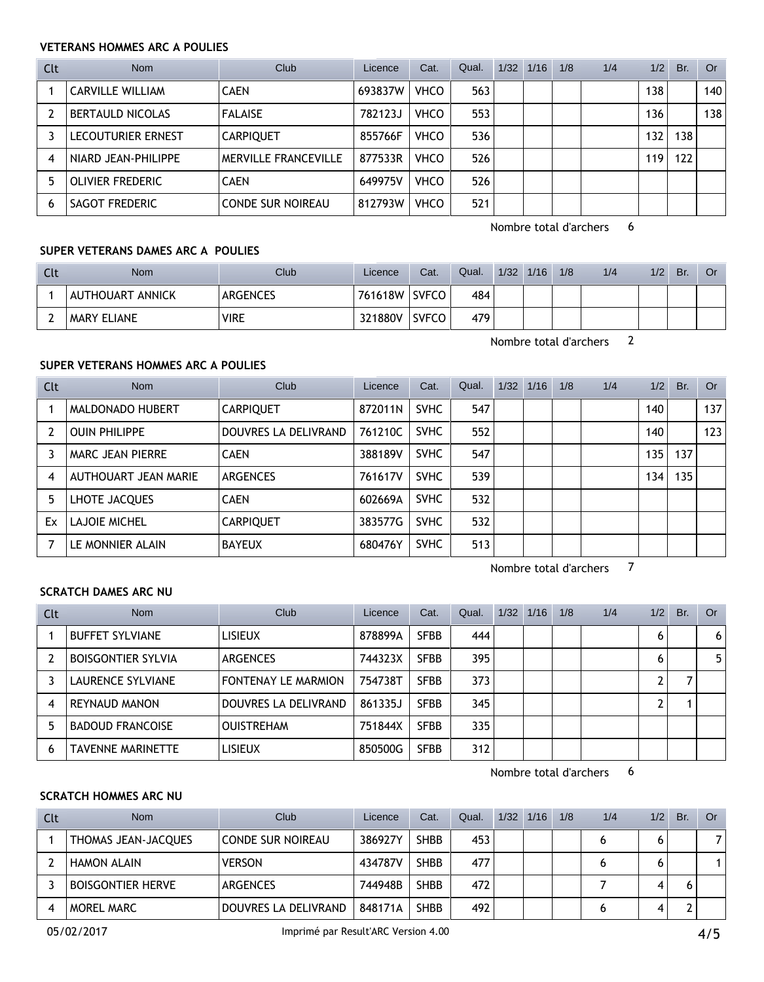### **VETERANS HOMMES ARC A POULIES**

| Clt | <b>Nom</b>                | Club                        | Licence | Cat.        | Qual. | 1/32 | 1/16 | 1/8 | 1/4 | 1/2 | Br. | Or  |
|-----|---------------------------|-----------------------------|---------|-------------|-------|------|------|-----|-----|-----|-----|-----|
|     | <b>CARVILLE WILLIAM</b>   | <b>CAEN</b>                 | 693837W | <b>VHCO</b> | 563   |      |      |     |     | 138 |     | 140 |
|     | <b>BERTAULD NICOLAS</b>   | <b>FALAISE</b>              | 782123J | <b>VHCO</b> | 553   |      |      |     |     | 136 |     | 138 |
|     | <b>LECOUTURIER ERNEST</b> | <b>CARPIQUET</b>            | 855766F | <b>VHCO</b> | 536   |      |      |     |     | 132 | 138 |     |
| 4   | NIARD JEAN-PHILIPPE       | <b>MERVILLE FRANCEVILLE</b> | 877533R | <b>VHCO</b> | 526   |      |      |     |     | 119 | 122 |     |
| 5   | OLIVIER FREDERIC          | <b>CAEN</b>                 | 649975V | <b>VHCO</b> | 526   |      |      |     |     |     |     |     |
| 6   | SAGOT FREDERIC            | <b>CONDE SUR NOIREAU</b>    | 812793W | <b>VHCO</b> | 521   |      |      |     |     |     |     |     |

Nombre total d'archers 6

### **SUPER VETERANS DAMES ARC A POULIES**

| Clt | Nom              | Club            | Licence | Cat.         | Qual. | 1/32 | 1/16 | 1/8 | 1/4 | 1/2 | Br. | <b>Or</b> |
|-----|------------------|-----------------|---------|--------------|-------|------|------|-----|-----|-----|-----|-----------|
|     | AUTHOUART ANNICK | <b>ARGENCES</b> | 761618W | <b>SVFCO</b> | 484   |      |      |     |     |     |     |           |
|     | I MARY ELIANE    | <b>VIRE</b>     | 321880V | <b>SVFCO</b> | 479   |      |      |     |     |     |     |           |

Nombre total d'archers 2

# **SUPER VETERANS HOMMES ARC A POULIES**

| Clt | <b>Nom</b>           | Club                 | Licence | Cat.        | Qual. | $1/32$ $1/16$ | 1/8 | 1/4 | 1/2 | Br. | <b>Or</b> |
|-----|----------------------|----------------------|---------|-------------|-------|---------------|-----|-----|-----|-----|-----------|
|     | MALDONADO HUBERT     | <b>CARPIQUET</b>     | 872011N | <b>SVHC</b> | 547   |               |     |     | 140 |     | 137       |
|     | <b>OUIN PHILIPPE</b> | DOUVRES LA DELIVRAND | 761210C | <b>SVHC</b> | 552   |               |     |     | 140 |     | 123       |
|     | MARC JEAN PIERRE     | <b>CAEN</b>          | 388189V | <b>SVHC</b> | 547   |               |     |     | 135 | 137 |           |
| 4   | AUTHOUART JEAN MARIE | <b>ARGENCES</b>      | 761617V | <b>SVHC</b> | 539   |               |     |     | 134 | 135 |           |
| 5   | LHOTE JACQUES        | <b>CAEN</b>          | 602669A | <b>SVHC</b> | 532   |               |     |     |     |     |           |
| Ex  | LAJOIE MICHEL        | <b>CARPIQUET</b>     | 383577G | <b>SVHC</b> | 532   |               |     |     |     |     |           |
|     | LE MONNIER ALAIN     | <b>BAYEUX</b>        | 680476Y | <b>SVHC</b> | 513   |               |     |     |     |     |           |

Nombre total d'archers 7

#### **SCRATCH DAMES ARC NU**

| Clt | <b>Nom</b>                | Club                       | Licence | Cat.        | Qual. | 1/32 | 1/16 | 1/8 | 1/4 | 1/2 | Br. | Or             |
|-----|---------------------------|----------------------------|---------|-------------|-------|------|------|-----|-----|-----|-----|----------------|
|     | <b>BUFFET SYLVIANE</b>    | <b>LISIEUX</b>             | 878899A | <b>SFBB</b> | 444   |      |      |     |     | 6   |     | 6 <sup>1</sup> |
|     | <b>BOISGONTIER SYLVIA</b> | <b>ARGENCES</b>            | 744323X | <b>SFBB</b> | 395   |      |      |     |     | 6   |     | 5 <sup>1</sup> |
|     | LAURENCE SYLVIANE         | <b>FONTENAY LE MARMION</b> | 754738T | <b>SFBB</b> | 373   |      |      |     |     | ົ   |     |                |
| 4   | REYNAUD MANON             | DOUVRES LA DELIVRAND       | 861335J | <b>SFBB</b> | 345   |      |      |     |     | ົ   |     |                |
| 5   | <b>BADOUD FRANCOISE</b>   | <b>OUISTREHAM</b>          | 751844X | <b>SFBB</b> | 335   |      |      |     |     |     |     |                |
| 6   | TAVENNE MARINETTE         | <b>LISIEUX</b>             | 850500G | <b>SFBB</b> | 312   |      |      |     |     |     |     |                |

Nombre total d'archers 6

#### **SCRATCH HOMMES ARC NU**

| Clt | <b>Nom</b>               | Club                     | Licence | Cat.        | Qual. | 1/32 | 1/16 | 1/8 | 1/4 | 1/2 | Br. | <b>Or</b> |
|-----|--------------------------|--------------------------|---------|-------------|-------|------|------|-----|-----|-----|-----|-----------|
|     | THOMAS JEAN-JACQUES      | <b>CONDE SUR NOIREAU</b> | 386927Y | <b>SHBB</b> | 453   |      |      |     |     |     |     |           |
|     | <b>HAMON ALAIN</b>       | <b>VERSON</b>            | 434787V | <b>SHBB</b> | 477   |      |      |     |     |     |     |           |
|     | <b>BOISGONTIER HERVE</b> | <b>ARGENCES</b>          | 744948B | <b>SHBB</b> | 472   |      |      |     |     |     |     |           |
|     | MOREL MARC               | DOUVRES LA DELIVRAND     | 848171A | <b>SHBB</b> | 492   |      |      |     |     |     |     |           |